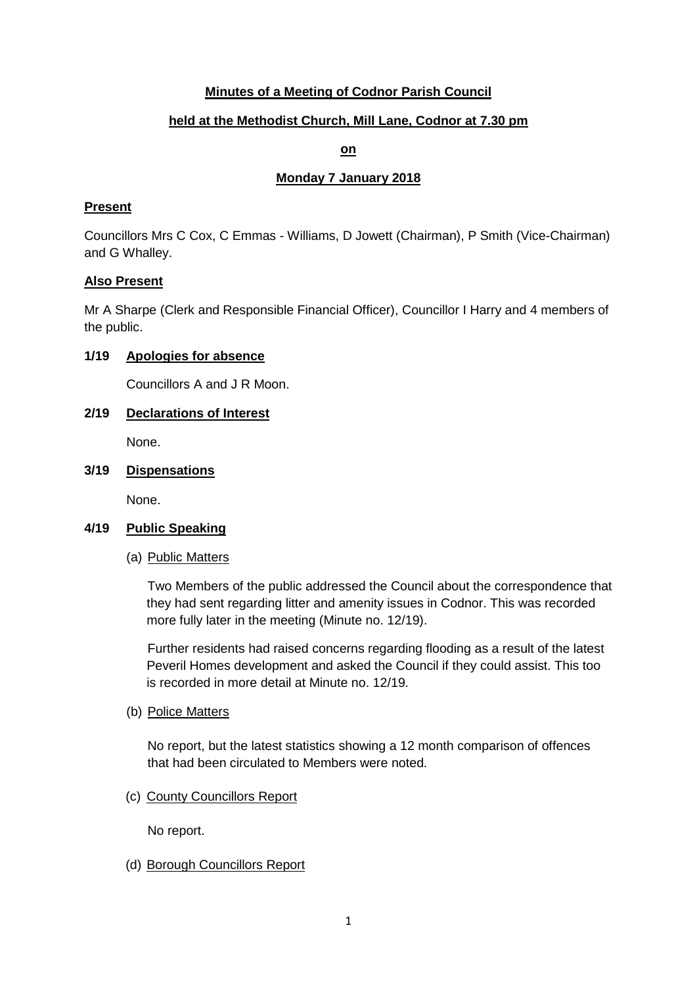# **Minutes of a Meeting of Codnor Parish Council**

## **held at the Methodist Church, Mill Lane, Codnor at 7.30 pm**

### **on**

## **Monday 7 January 2018**

### **Present**

Councillors Mrs C Cox, C Emmas - Williams, D Jowett (Chairman), P Smith (Vice-Chairman) and G Whalley.

#### **Also Present**

Mr A Sharpe (Clerk and Responsible Financial Officer), Councillor I Harry and 4 members of the public.

#### **1/19 Apologies for absence**

Councillors A and J R Moon.

## **2/19 Declarations of Interest**

None.

## **3/19 Dispensations**

None.

#### **4/19 Public Speaking**

#### (a) Public Matters

Two Members of the public addressed the Council about the correspondence that they had sent regarding litter and amenity issues in Codnor. This was recorded more fully later in the meeting (Minute no. 12/19).

Further residents had raised concerns regarding flooding as a result of the latest Peveril Homes development and asked the Council if they could assist. This too is recorded in more detail at Minute no. 12/19.

#### (b) Police Matters

No report, but the latest statistics showing a 12 month comparison of offences that had been circulated to Members were noted.

(c) County Councillors Report

No report.

#### (d) Borough Councillors Report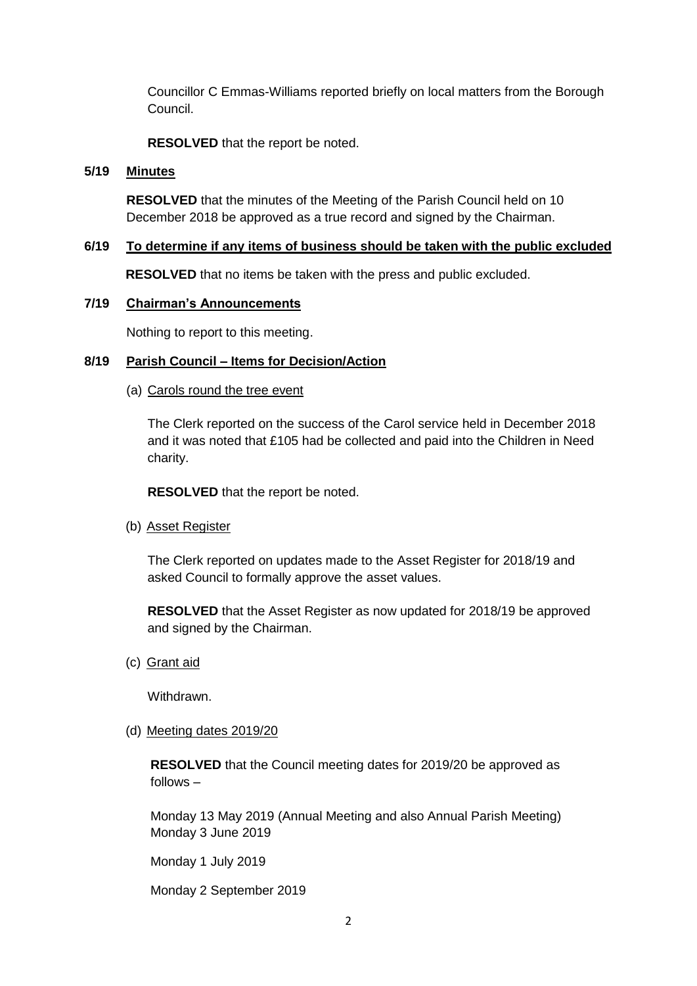Councillor C Emmas-Williams reported briefly on local matters from the Borough Council.

**RESOLVED** that the report be noted.

#### **5/19 Minutes**

**RESOLVED** that the minutes of the Meeting of the Parish Council held on 10 December 2018 be approved as a true record and signed by the Chairman.

### **6/19 To determine if any items of business should be taken with the public excluded**

**RESOLVED** that no items be taken with the press and public excluded.

#### **7/19 Chairman's Announcements**

Nothing to report to this meeting.

## **8/19 Parish Council – Items for Decision/Action**

(a) Carols round the tree event

The Clerk reported on the success of the Carol service held in December 2018 and it was noted that £105 had be collected and paid into the Children in Need charity.

**RESOLVED** that the report be noted.

(b) Asset Register

The Clerk reported on updates made to the Asset Register for 2018/19 and asked Council to formally approve the asset values.

**RESOLVED** that the Asset Register as now updated for 2018/19 be approved and signed by the Chairman.

(c) Grant aid

Withdrawn.

(d) Meeting dates 2019/20

**RESOLVED** that the Council meeting dates for 2019/20 be approved as follows –

Monday 13 May 2019 (Annual Meeting and also Annual Parish Meeting) Monday 3 June 2019

Monday 1 July 2019

Monday 2 September 2019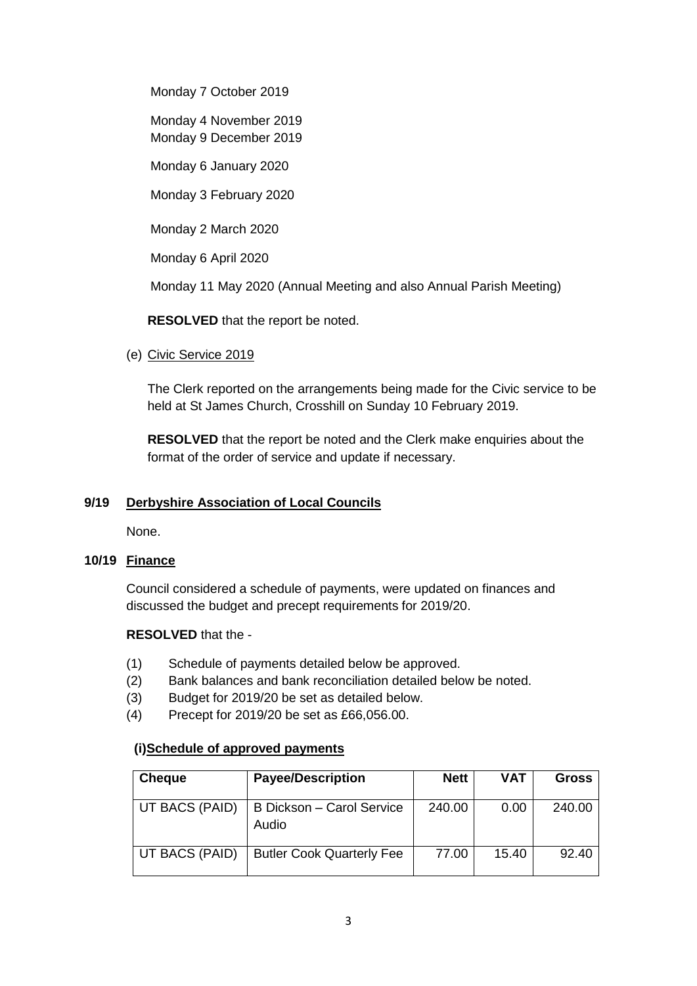Monday 7 October 2019

Monday 4 November 2019 Monday 9 December 2019

Monday 6 January 2020

Monday 3 February 2020

Monday 2 March 2020

Monday 6 April 2020

Monday 11 May 2020 (Annual Meeting and also Annual Parish Meeting)

**RESOLVED** that the report be noted.

## (e) Civic Service 2019

The Clerk reported on the arrangements being made for the Civic service to be held at St James Church, Crosshill on Sunday 10 February 2019.

**RESOLVED** that the report be noted and the Clerk make enquiries about the format of the order of service and update if necessary.

### **9/19 Derbyshire Association of Local Councils**

None.

# **10/19 Finance**

Council considered a schedule of payments, were updated on finances and discussed the budget and precept requirements for 2019/20.

## **RESOLVED** that the -

- (1) Schedule of payments detailed below be approved.
- (2) Bank balances and bank reconciliation detailed below be noted.
- (3) Budget for 2019/20 be set as detailed below.
- (4) Precept for 2019/20 be set as £66,056.00.

# **(i)Schedule of approved payments**

| <b>Cheque</b>  | <b>Payee/Description</b>           | <b>Nett</b> | <b>VAT</b> | <b>Gross</b> |
|----------------|------------------------------------|-------------|------------|--------------|
| UT BACS (PAID) | B Dickson - Carol Service<br>Audio | 240.00      | 0.00       | 240.00       |
| UT BACS (PAID) | <b>Butler Cook Quarterly Fee</b>   | 77.00       | 15.40      | 92.40        |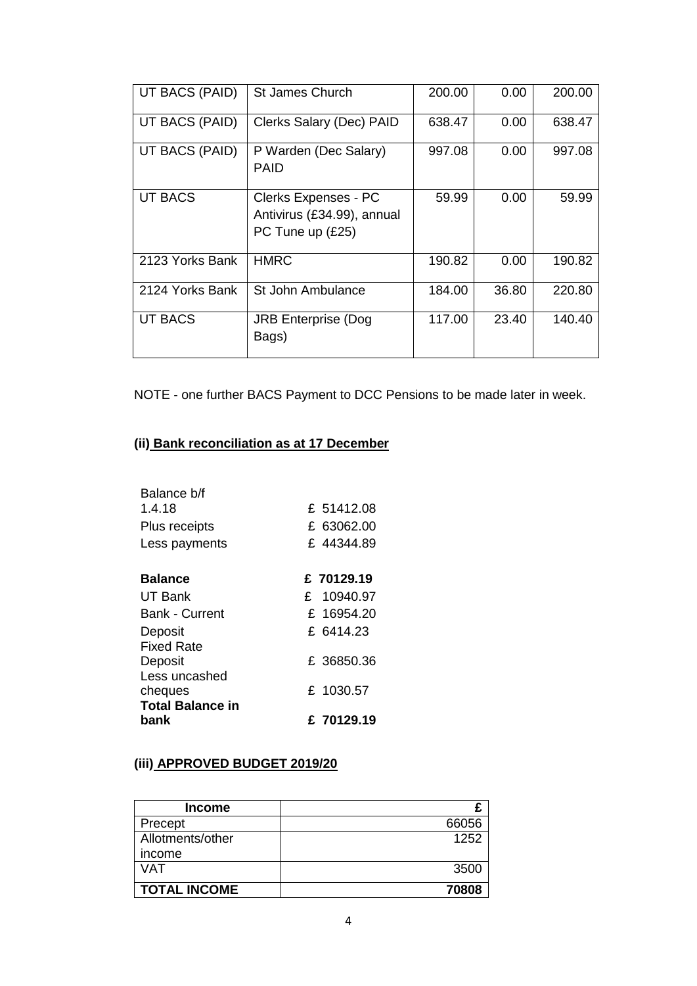| UT BACS (PAID)  | <b>St James Church</b>                                                 | 200.00 | 0.00  | 200.00 |
|-----------------|------------------------------------------------------------------------|--------|-------|--------|
| UT BACS (PAID)  | Clerks Salary (Dec) PAID                                               | 638.47 | 0.00  | 638.47 |
| UT BACS (PAID)  | P Warden (Dec Salary)<br>PAID                                          | 997.08 | 0.00  | 997.08 |
| <b>UT BACS</b>  | Clerks Expenses - PC<br>Antivirus (£34.99), annual<br>PC Tune up (£25) | 59.99  | 0.00  | 59.99  |
| 2123 Yorks Bank | <b>HMRC</b>                                                            | 190.82 | 0.00  | 190.82 |
| 2124 Yorks Bank | St John Ambulance                                                      | 184.00 | 36.80 | 220.80 |
| <b>UT BACS</b>  | <b>JRB Enterprise (Dog</b><br>Bags)                                    | 117.00 | 23.40 | 140.40 |

NOTE - one further BACS Payment to DCC Pensions to be made later in week.

# **(ii) Bank reconciliation as at 17 December**

| Balance b/f             |            |
|-------------------------|------------|
| 1.4.18                  | £ 51412.08 |
| Plus receipts           | £ 63062.00 |
| Less payments           | £44344.89  |
|                         |            |
| <b>Balance</b>          | £70129.19  |
| UT Bank                 | £ 10940.97 |
| <b>Bank - Current</b>   | £ 16954.20 |
| Deposit                 | £ 6414.23  |
| <b>Fixed Rate</b>       |            |
| Deposit                 | £ 36850.36 |
| Less uncashed           |            |
| cheques                 | £ 1030.57  |
| <b>Total Balance in</b> |            |
| bank                    | £70129.19  |

# **(iii) APPROVED BUDGET 2019/20**

| <b>Income</b>       |       |
|---------------------|-------|
| Precept             | 66056 |
| Allotments/other    | 1252  |
| income              |       |
| VAT                 | 3500  |
| <b>TOTAL INCOME</b> | 70808 |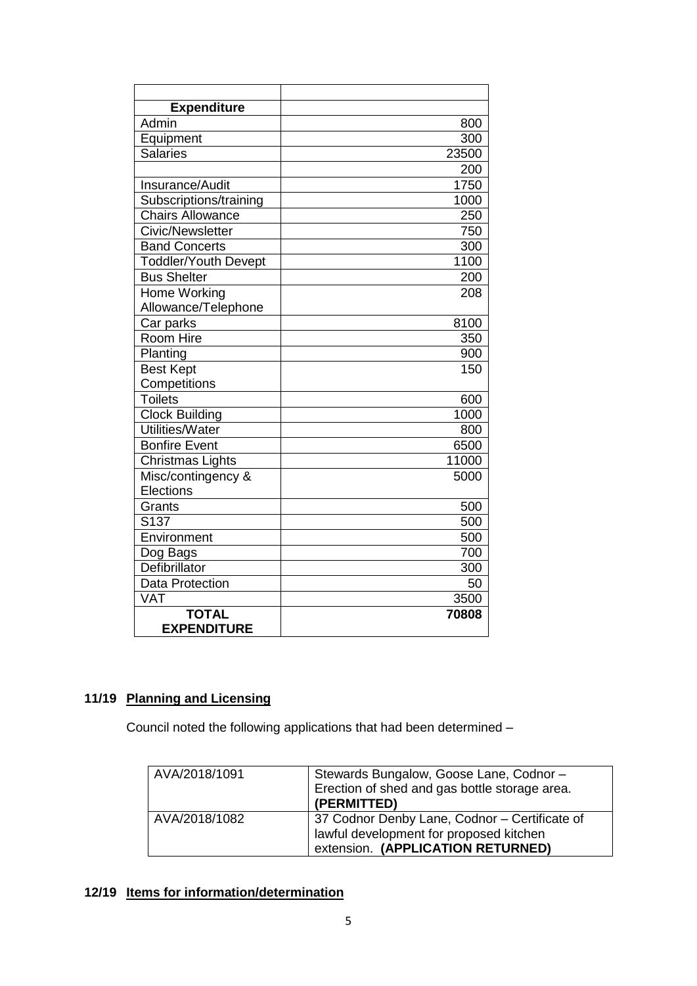| <b>Expenditure</b>          |       |
|-----------------------------|-------|
| Admin                       | 800   |
| Equipment                   | 300   |
| <b>Salaries</b>             | 23500 |
|                             | 200   |
| Insurance/Audit             | 1750  |
| Subscriptions/training      | 1000  |
| <b>Chairs Allowance</b>     | 250   |
| Civic/Newsletter            | 750   |
| <b>Band Concerts</b>        | 300   |
| <b>Toddler/Youth Devept</b> | 1100  |
| <b>Bus Shelter</b>          | 200   |
| Home Working                | 208   |
| Allowance/Telephone         |       |
| Car parks                   | 8100  |
| Room Hire                   | 350   |
| Planting                    | 900   |
| <b>Best Kept</b>            | 150   |
| Competitions                |       |
| <b>Toilets</b>              | 600   |
| <b>Clock Building</b>       | 1000  |
| <b>Utilities/Water</b>      | 800   |
| <b>Bonfire Event</b>        | 6500  |
| <b>Christmas Lights</b>     | 11000 |
| Misc/contingency &          | 5000  |
| Elections                   |       |
| Grants                      | 500   |
| S137                        | 500   |
| Environment                 | 500   |
| Dog Bags                    | 700   |
| Defibrillator               | 300   |
| <b>Data Protection</b>      | 50    |
| <b>VAT</b>                  | 3500  |
| <b>TOTAL</b>                | 70808 |
| <b>EXPENDITURE</b>          |       |

# **11/19 Planning and Licensing**

Council noted the following applications that had been determined –

| AVA/2018/1091 | Stewards Bungalow, Goose Lane, Codnor -<br>Erection of shed and gas bottle storage area.<br>(PERMITTED)                       |
|---------------|-------------------------------------------------------------------------------------------------------------------------------|
| AVA/2018/1082 | 37 Codnor Denby Lane, Codnor - Certificate of<br>lawful development for proposed kitchen<br>extension. (APPLICATION RETURNED) |

# **12/19 Items for information/determination**